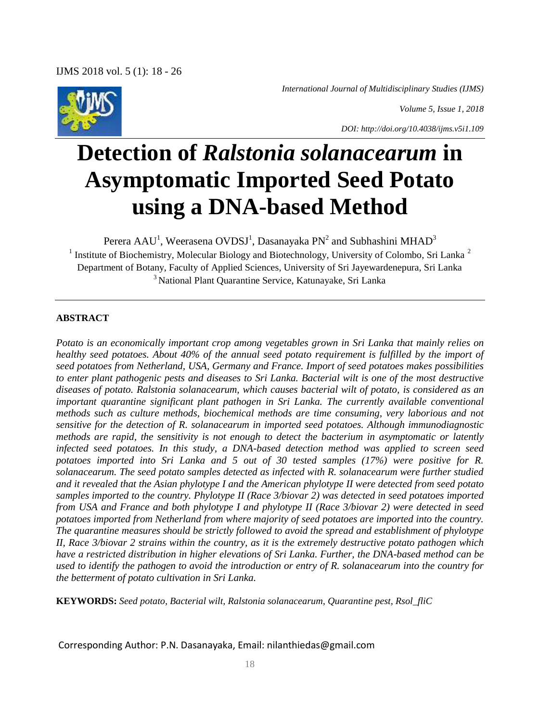*International Journal of Multidisciplinary Studies (IJMS)*





# **Detection of** *Ralstonia solanacearum* **in Asymptomatic Imported Seed Potato using a DNA-based Method**

Perera AAU<sup>1</sup>, Weerasena OVDSJ<sup>1</sup>, Dasanayaka PN<sup>2</sup> and Subhashini MHAD<sup>3</sup> <sup>1</sup> Institute of Biochemistry, Molecular Biology and Biotechnology, University of Colombo, Sri Lanka<sup>2</sup> Department of Botany, Faculty of Applied Sciences, University of Sri Jayewardenepura, Sri Lanka <sup>3</sup> National Plant Quarantine Service, Katunayake, Sri Lanka

## **ABSTRACT**

*Potato is an economically important crop among vegetables grown in Sri Lanka that mainly relies on healthy seed potatoes. About 40% of the annual seed potato requirement is fulfilled by the import of seed potatoes from Netherland, USA, Germany and France. Import of seed potatoes makes possibilities to enter plant pathogenic pests and diseases to Sri Lanka. Bacterial wilt is one of the most destructive diseases of potato. Ralstonia solanacearum, which causes bacterial wilt of potato, is considered as an important quarantine significant plant pathogen in Sri Lanka. The currently available conventional methods such as culture methods, biochemical methods are time consuming, very laborious and not sensitive for the detection of R. solanacearum in imported seed potatoes. Although immunodiagnostic methods are rapid, the sensitivity is not enough to detect the bacterium in asymptomatic or latently infected seed potatoes. In this study, a DNA-based detection method was applied to screen seed potatoes imported into Sri Lanka and 5 out of 30 tested samples (17%) were positive for R. solanacearum. The seed potato samples detected as infected with R. solanacearum were further studied and it revealed that the Asian phylotype I and the American phylotype II were detected from seed potato samples imported to the country. Phylotype II (Race 3/biovar 2) was detected in seed potatoes imported from USA and France and both phylotype I and phylotype II (Race 3/biovar 2) were detected in seed potatoes imported from Netherland from where majority of seed potatoes are imported into the country. The quarantine measures should be strictly followed to avoid the spread and establishment of phylotype II, Race 3/biovar 2 strains within the country, as it is the extremely destructive potato pathogen which have a restricted distribution in higher elevations of Sri Lanka. Further, the DNA-based method can be used to identify the pathogen to avoid the introduction or entry of R. solanacearum into the country for the betterment of potato cultivation in Sri Lanka.*

**KEYWORDS:** *Seed potato, Bacterial wilt, Ralstonia solanacearum, Quarantine pest, Rsol\_fliC*

Corresponding Author: P.N. Dasanayaka, Email: nilanthiedas@gmail.com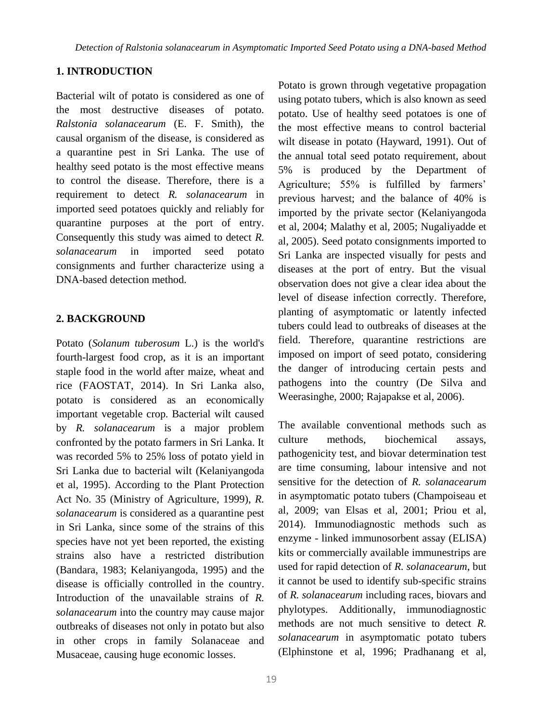## **1. INTRODUCTION**

Bacterial wilt of potato is considered as one of the most destructive diseases of potato. *Ralstonia solanacearum* (E. F. Smith), the causal organism of the disease, is considered as a quarantine pest in Sri Lanka. The use of healthy seed potato is the most effective means to control the disease. Therefore, there is a requirement to detect *R. solanacearum* in imported seed potatoes quickly and reliably for quarantine purposes at the port of entry. Consequently this study was aimed to detect *R. solanacearum* in imported seed potato consignments and further characterize using a DNA-based detection method.

## **2. BACKGROUND**

Potato (*Solanum tuberosum* L.) is the world's fourth-largest food crop, as it is an important staple food in the world after maize, wheat and rice (FAOSTAT, 2014). In Sri Lanka also, potato is considered as an economically important vegetable crop. Bacterial wilt caused by *R. solanacearum* is a major problem confronted by the potato farmers in Sri Lanka. It was recorded 5% to 25% loss of potato yield in Sri Lanka due to bacterial wilt (Kelaniyangoda et al, 1995). According to the Plant Protection Act No. 35 (Ministry of Agriculture, 1999), *R. solanacearum* is considered as a quarantine pest in Sri Lanka, since some of the strains of this species have not yet been reported, the existing strains also have a restricted distribution (Bandara, 1983; Kelaniyangoda, 1995) and the disease is officially controlled in the country. Introduction of the unavailable strains of *R. solanacearum* into the country may cause major outbreaks of diseases not only in potato but also in other crops in family Solanaceae and Musaceae, causing huge economic losses.

Potato is grown through vegetative propagation using potato tubers, which is also known as seed potato. Use of healthy seed potatoes is one of the most effective means to control bacterial wilt disease in potato (Hayward, 1991). Out of the annual total seed potato requirement, about 5% is produced by the Department of Agriculture; 55% is fulfilled by farmers' previous harvest; and the balance of 40% is imported by the private sector (Kelaniyangoda et al, 2004; Malathy et al, 2005; Nugaliyadde et al, 2005). Seed potato consignments imported to Sri Lanka are inspected visually for pests and diseases at the port of entry. But the visual observation does not give a clear idea about the level of disease infection correctly. Therefore, planting of asymptomatic or latently infected tubers could lead to outbreaks of diseases at the field. Therefore, quarantine restrictions are imposed on import of seed potato, considering the danger of introducing certain pests and pathogens into the country (De Silva and Weerasinghe, 2000; Rajapakse et al, 2006).

The available conventional methods such as culture methods, biochemical assays, pathogenicity test, and biovar determination test are time consuming, labour intensive and not sensitive for the detection of *R. solanacearum* in asymptomatic potato tubers (Champoiseau et al, 2009; van Elsas et al, 2001; Priou et al, 2014). Immunodiagnostic methods such as enzyme - linked immunosorbent assay (ELISA) kits or commercially available immunestrips are used for rapid detection of *R. solanacearum*, but it cannot be used to identify sub-specific strains of *R. solanacearum* including races, biovars and phylotypes. Additionally, immunodiagnostic methods are not much sensitive to detect *R. solanacearum* in asymptomatic potato tubers (Elphinstone et al, 1996; Pradhanang et al,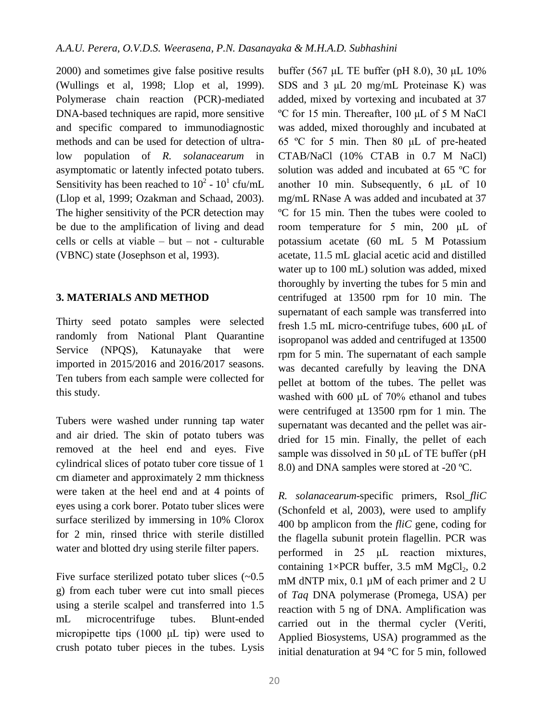2000) and sometimes give false positive results (Wullings et al, 1998; Llop et al, 1999). Polymerase chain reaction (PCR)-mediated DNA-based techniques are rapid, more sensitive and specific compared to immunodiagnostic methods and can be used for detection of ultralow population of *R. solanacearum* in asymptomatic or latently infected potato tubers. Sensitivity has been reached to  $10^2$  -  $10^1$  cfu/mL (Llop et al, 1999; Ozakman and Schaad, 2003). The higher sensitivity of the PCR detection may be due to the amplification of living and dead cells or cells at viable – but – not - culturable (VBNC) state (Josephson et al, 1993).

# **3. MATERIALS AND METHOD**

Thirty seed potato samples were selected randomly from National Plant Quarantine Service (NPQS), Katunayake that were imported in 2015/2016 and 2016/2017 seasons. Ten tubers from each sample were collected for this study.

Tubers were washed under running tap water and air dried. The skin of potato tubers was removed at the heel end and eyes. Five cylindrical slices of potato tuber core tissue of 1 cm diameter and approximately 2 mm thickness were taken at the heel end and at 4 points of eyes using a cork borer. Potato tuber slices were surface sterilized by immersing in 10% Clorox for 2 min, rinsed thrice with sterile distilled water and blotted dry using sterile filter papers.

Five surface sterilized potato tuber slices  $(-0.5)$ g) from each tuber were cut into small pieces using a sterile scalpel and transferred into 1.5 mL microcentrifuge tubes. Blunt-ended micropipette tips (1000 μL tip) were used to crush potato tuber pieces in the tubes. Lysis

buffer (567 μL TE buffer (pH 8.0), 30 μL 10% SDS and 3 μL 20 mg/mL Proteinase K) was added, mixed by vortexing and incubated at 37 ºC for 15 min. Thereafter, 100 μL of 5 M NaCl was added, mixed thoroughly and incubated at 65 ºC for 5 min. Then 80 μL of pre-heated CTAB/NaCl (10% CTAB in 0.7 M NaCl) solution was added and incubated at 65 ºC for another 10 min. Subsequently, 6 μL of 10 mg/mL RNase A was added and incubated at 37 ºC for 15 min. Then the tubes were cooled to room temperature for 5 min, 200 μL of potassium acetate (60 mL 5 M Potassium acetate, 11.5 mL glacial acetic acid and distilled water up to 100 mL) solution was added, mixed thoroughly by inverting the tubes for 5 min and centrifuged at 13500 rpm for 10 min. The supernatant of each sample was transferred into fresh 1.5 mL micro-centrifuge tubes, 600 μL of isopropanol was added and centrifuged at 13500 rpm for 5 min. The supernatant of each sample was decanted carefully by leaving the DNA pellet at bottom of the tubes. The pellet was washed with 600 μL of 70% ethanol and tubes were centrifuged at 13500 rpm for 1 min. The supernatant was decanted and the pellet was airdried for 15 min. Finally, the pellet of each sample was dissolved in 50 μL of TE buffer (pH 8.0) and DNA samples were stored at -20 ºC.

*R. solanacearum*-specific primers, Rsol\_*fliC* (Schonfeld et al, 2003), were used to amplify 400 bp amplicon from the *fliC* gene, coding for the flagella subunit protein flagellin. PCR was performed in 25 μL reaction mixtures, containing  $1 \times PCR$  buffer, 3.5 mM MgCl<sub>2</sub>, 0.2 mM dNTP mix, 0.1 μM of each primer and 2 U of *Taq* DNA polymerase (Promega, USA) per reaction with 5 ng of DNA. Amplification was carried out in the thermal cycler (Veriti, Applied Biosystems, USA) programmed as the initial denaturation at 94 °C for 5 min, followed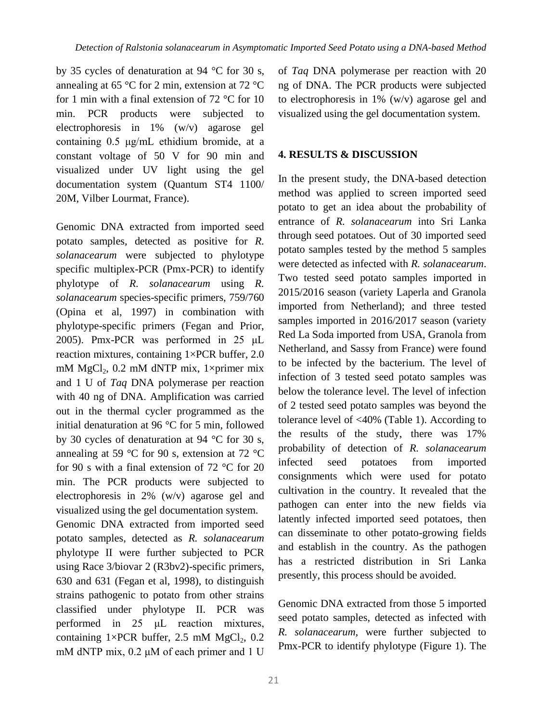by 35 cycles of denaturation at 94 °C for 30 s, annealing at 65 °C for 2 min, extension at 72 °C for 1 min with a final extension of  $72 \text{ °C}$  for 10 min. PCR products were subjected to electrophoresis in 1% (w/v) agarose gel containing 0.5 μg/mL ethidium bromide, at a constant voltage of 50 V for 90 min and visualized under UV light using the gel documentation system (Quantum ST4 1100/ 20M, Vilber Lourmat, France).

Genomic DNA extracted from imported seed potato samples, detected as positive for *R. solanacearum* were subjected to phylotype specific multiplex-PCR (Pmx-PCR) to identify phylotype of *R. solanacearum* using *R. solanacearum* species-specific primers, 759/760 (Opina et al, 1997) in combination with phylotype-specific primers (Fegan and Prior, 2005). Pmx-PCR was performed in 25 μL reaction mixtures, containing 1×PCR buffer, 2.0 mM  $MgCl<sub>2</sub>$ , 0.2 mM dNTP mix, 1×primer mix and 1 U of *Taq* DNA polymerase per reaction with 40 ng of DNA. Amplification was carried out in the thermal cycler programmed as the initial denaturation at 96 °C for 5 min, followed by 30 cycles of denaturation at 94 °C for 30 s, annealing at 59  $\degree$ C for 90 s, extension at 72  $\degree$ C for 90 s with a final extension of 72 °C for 20 min. The PCR products were subjected to electrophoresis in 2% (w/v) agarose gel and visualized using the gel documentation system.

Genomic DNA extracted from imported seed potato samples, detected as *R. solanacearum* phylotype II were further subjected to PCR using Race 3/biovar 2 (R3bv2)-specific primers, 630 and 631 (Fegan et al, 1998), to distinguish strains pathogenic to potato from other strains classified under phylotype II. PCR was performed in 25 μL reaction mixtures, containing  $1 \times PCR$  buffer, 2.5 mM MgCl<sub>2</sub>, 0.2 mM dNTP mix, 0.2 μM of each primer and 1 U

of *Taq* DNA polymerase per reaction with 20 ng of DNA. The PCR products were subjected to electrophoresis in 1% (w/v) agarose gel and visualized using the gel documentation system.

## **4. RESULTS & DISCUSSION**

In the present study, the DNA-based detection method was applied to screen imported seed potato to get an idea about the probability of entrance of *R. solanacearum* into Sri Lanka through seed potatoes. Out of 30 imported seed potato samples tested by the method 5 samples were detected as infected with *R. solanacearum*. Two tested seed potato samples imported in 2015/2016 season (variety Laperla and Granola imported from Netherland); and three tested samples imported in 2016/2017 season (variety Red La Soda imported from USA, Granola from Netherland, and Sassy from France) were found to be infected by the bacterium. The level of infection of 3 tested seed potato samples was below the tolerance level. The level of infection of 2 tested seed potato samples was beyond the tolerance level of <40% (Table 1). According to the results of the study, there was 17% probability of detection of *R. solanacearum* infected seed potatoes from imported consignments which were used for potato cultivation in the country. It revealed that the pathogen can enter into the new fields via latently infected imported seed potatoes, then can disseminate to other potato-growing fields and establish in the country. As the pathogen has a restricted distribution in Sri Lanka presently, this process should be avoided.

Genomic DNA extracted from those 5 imported seed potato samples, detected as infected with *R. solanacearum*, were further subjected to Pmx-PCR to identify phylotype (Figure 1). The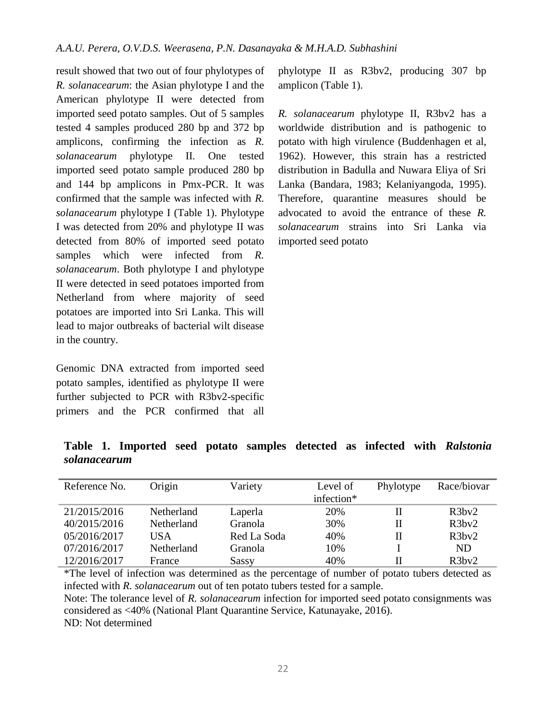result showed that two out of four phylotypes of *R. solanacearum*: the Asian phylotype I and the American phylotype II were detected from imported seed potato samples. Out of 5 samples tested 4 samples produced 280 bp and 372 bp amplicons, confirming the infection as *R. solanacearum* phylotype II. One tested imported seed potato sample produced 280 bp and 144 bp amplicons in Pmx-PCR. It was confirmed that the sample was infected with *R. solanacearum* phylotype I (Table 1). Phylotype I was detected from 20% and phylotype II was detected from 80% of imported seed potato samples which were infected from *R*. *solanacearum*. Both phylotype I and phylotype II were detected in seed potatoes imported from Netherland from where majority of seed potatoes are imported into Sri Lanka. This will lead to major outbreaks of bacterial wilt disease in the country.

Genomic DNA extracted from imported seed potato samples, identified as phylotype II were further subjected to PCR with R3bv2-specific primers and the PCR confirmed that all phylotype II as R3bv2, producing 307 bp amplicon (Table 1).

*R. solanacearum* phylotype II, R3bv2 has a worldwide distribution and is pathogenic to potato with high virulence (Buddenhagen et al, 1962). However, this strain has a restricted distribution in Badulla and Nuwara Eliya of Sri Lanka (Bandara, 1983; Kelaniyangoda, 1995). Therefore, quarantine measures should be advocated to avoid the entrance of these *R. solanacearum* strains into Sri Lanka via imported seed potato

**Table 1. Imported seed potato samples detected as infected with** *Ralstonia solanacearum*

| Reference No. | Origin     | Variety        | Level of   | Phylotype | Race/biovar |
|---------------|------------|----------------|------------|-----------|-------------|
|               |            |                | infection* |           |             |
| 21/2015/2016  | Netherland | Laperla        | 20%        | Н         | R3bv2       |
| 40/2015/2016  | Netherland | Granola        | 30%        | П         | R3bv2       |
| 05/2016/2017  | USA        | Red La Soda    | 40%        | П         | R3bv2       |
| 07/2016/2017  | Netherland | <b>Granola</b> | 10%        |           | ND.         |
| 12/2016/2017  | France     | Sassy          | 40%        | Н         | R3bv2       |

\*The level of infection was determined as the percentage of number of potato tubers detected as infected with *R. solanacearum* out of ten potato tubers tested for a sample. Note: The tolerance level of *R. solanacearum* infection for imported seed potato consignments was considered as <40% (National Plant Quarantine Service, Katunayake, 2016). ND: Not determined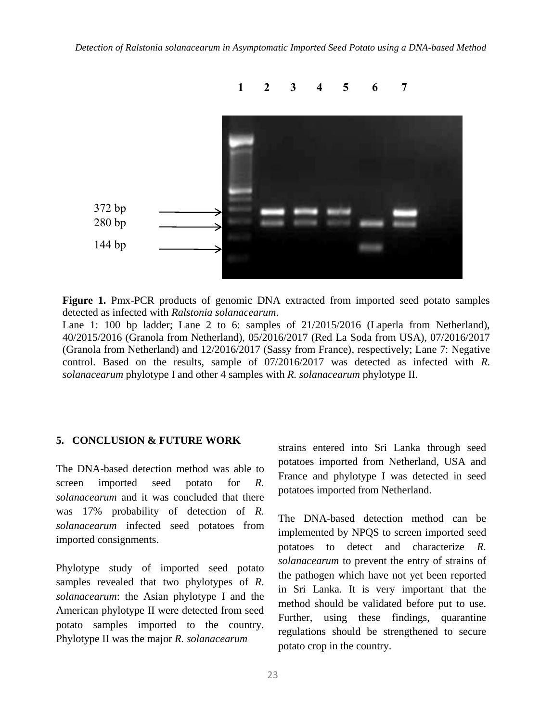

**Figure 1.** Pmx-PCR products of genomic DNA extracted from imported seed potato samples detected as infected with *Ralstonia solanacearum*.

Lane 1: 100 bp ladder; Lane 2 to 6: samples of  $21/2015/2016$  (Laperla from Netherland), 40/2015/2016 (Granola from Netherland), 05/2016/2017 (Red La Soda from USA), 07/2016/2017 (Granola from Netherland) and 12/2016/2017 (Sassy from France), respectively; Lane 7: Negative control. Based on the results, sample of 07/2016/2017 was detected as infected with *R. solanacearum* phylotype I and other 4 samples with *R. solanacearum* phylotype II.

## **5. CONCLUSION & FUTURE WORK**

The DNA-based detection method was able to screen imported seed potato for *R. solanacearum* and it was concluded that there was 17% probability of detection of *R. solanacearum* infected seed potatoes from imported consignments.

Phylotype study of imported seed potato samples revealed that two phylotypes of *R. solanacearum*: the Asian phylotype I and the American phylotype II were detected from seed potato samples imported to the country. Phylotype II was the major *R. solanacearum*

strains entered into Sri Lanka through seed potatoes imported from Netherland, USA and France and phylotype I was detected in seed potatoes imported from Netherland.

The DNA-based detection method can be implemented by NPQS to screen imported seed potatoes to detect and characterize *R. solanacearum* to prevent the entry of strains of the pathogen which have not yet been reported in Sri Lanka. It is very important that the method should be validated before put to use. Further, using these findings, quarantine regulations should be strengthened to secure potato crop in the country.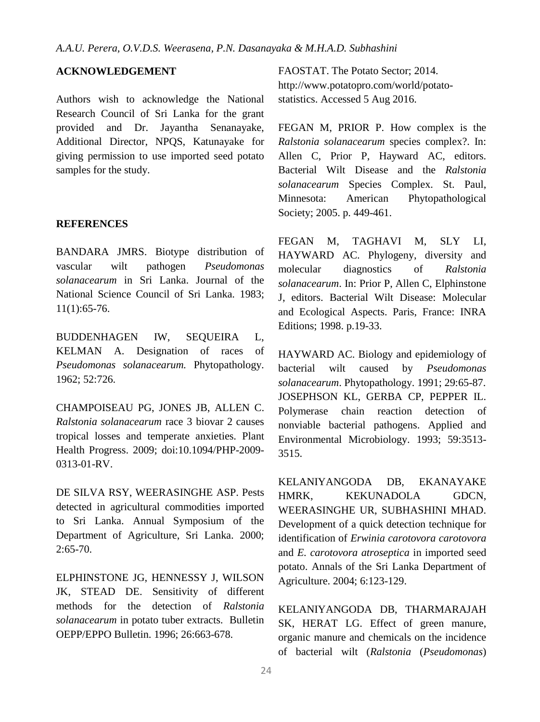# **ACKNOWLEDGEMENT**

Authors wish to acknowledge the National Research Council of Sri Lanka for the grant provided and Dr. Jayantha Senanayake, Additional Director, NPQS, Katunayake for giving permission to use imported seed potato samples for the study.

#### **REFERENCES**

BANDARA JMRS. Biotype distribution of vascular wilt pathogen *Pseudomonas solanacearum* in Sri Lanka. Journal of the National Science Council of Sri Lanka. 1983; 11(1):65-76.

BUDDENHAGEN IW, SEQUEIRA L, KELMAN A. Designation of races of *Pseudomonas solanacearum.* Phytopathology. 1962; 52:726.

CHAMPOISEAU PG, JONES JB, ALLEN C. *Ralstonia solanacearum* race 3 biovar 2 causes tropical losses and temperate anxieties. Plant Health Progress. 2009; doi:10.1094/PHP-2009- 0313-01-RV.

DE SILVA RSY, WEERASINGHE ASP. Pests detected in agricultural commodities imported to Sri Lanka. Annual Symposium of the Department of Agriculture, Sri Lanka. 2000; 2:65-70.

ELPHINSTONE JG, HENNESSY J, WILSON JK, STEAD DE. Sensitivity of different methods for the detection of *Ralstonia solanacearum* in potato tuber extracts. Bulletin OEPP/EPPO Bulletin. 1996; 26:663-678.

FAOSTAT. The Potato Sector; 2014. http://www.potatopro.com/world/potatostatistics. Accessed 5 Aug 2016.

FEGAN M, PRIOR P. How complex is the *Ralstonia solanacearum* species complex?. In: Allen C, Prior P, Hayward AC, editors. Bacterial Wilt Disease and the *Ralstonia solanacearum* Species Complex. St. Paul, Minnesota: American Phytopathological Society; 2005. p. 449-461.

FEGAN M, TAGHAVI M, SLY LI, HAYWARD AC. Phylogeny, diversity and molecular diagnostics of *Ralstonia solanacearum*. In: Prior P, Allen C, Elphinstone J, editors. Bacterial Wilt Disease: Molecular and Ecological Aspects. Paris, France: INRA Editions; 1998. p.19-33.

HAYWARD AC. Biology and epidemiology of bacterial wilt caused by *Pseudomonas solanacearum*. Phytopathology. 1991; 29:65-87. JOSEPHSON KL, GERBA CP, PEPPER IL. Polymerase chain reaction detection of nonviable bacterial pathogens. Applied and Environmental Microbiology. 1993; 59:3513- 3515.

KELANIYANGODA DB, EKANAYAKE HMRK, KEKUNADOLA GDCN, WEERASINGHE UR, SUBHASHINI MHAD. Development of a quick detection technique for identification of *Erwinia carotovora carotovora* and *E. carotovora atroseptica* in imported seed potato. Annals of the Sri Lanka Department of Agriculture. 2004; 6:123-129.

KELANIYANGODA DB, THARMARAJAH SK, HERAT LG. Effect of green manure, organic manure and chemicals on the incidence of bacterial wilt (*Ralstonia* (*Pseudomonas*)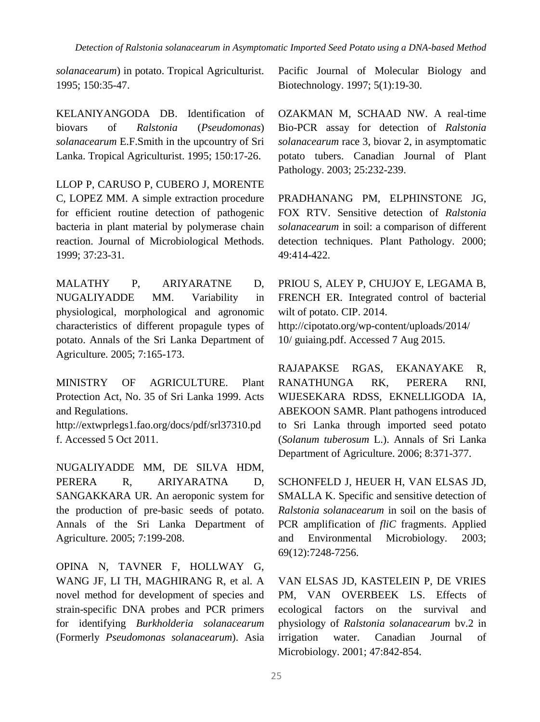*Detection of Ralstonia solanacearum in Asymptomatic Imported Seed Potato using a DNA-based Method*

*solanacearum*) in potato. Tropical Agriculturist. 1995; 150:35-47.

KELANIYANGODA DB. Identification of biovars of *Ralstonia* (*Pseudomonas*) *solanacearum* E.F.Smith in the upcountry of Sri Lanka. Tropical Agriculturist. 1995; 150:17-26.

LLOP P, CARUSO P, CUBERO J, MORENTE C, LOPEZ MM. A simple extraction procedure for efficient routine detection of pathogenic bacteria in plant material by polymerase chain reaction. Journal of Microbiological Methods. 1999; 37:23-31.

MALATHY P, ARIYARATNE D, NUGALIYADDE MM. Variability in physiological, morphological and agronomic characteristics of different propagule types of potato. Annals of the Sri Lanka Department of Agriculture. 2005; 7:165-173.

MINISTRY OF AGRICULTURE. Plant Protection Act, No. 35 of Sri Lanka 1999. Acts and Regulations.

http://extwprlegs1.fao.org/docs/pdf/srl37310.pd f. Accessed 5 Oct 2011.

NUGALIYADDE MM, DE SILVA HDM, PERERA R, ARIYARATNA D, SANGAKKARA UR. An aeroponic system for the production of pre-basic seeds of potato. Annals of the Sri Lanka Department of Agriculture. 2005; 7:199-208.

OPINA N, TAVNER F, HOLLWAY G, WANG JF, LI TH, MAGHIRANG R, et al. A novel method for development of species and strain-specific DNA probes and PCR primers for identifying *Burkholderia solanacearum* (Formerly *Pseudomonas solanacearum*). Asia Pacific Journal of Molecular Biology and Biotechnology. 1997; 5(1):19-30.

OZAKMAN M, SCHAAD NW. A real-time Bio-PCR assay for detection of *Ralstonia solanacearum* race 3, biovar 2, in asymptomatic potato tubers. Canadian Journal of Plant Pathology. 2003; 25:232-239.

PRADHANANG PM, ELPHINSTONE JG, FOX RTV. Sensitive detection of *Ralstonia solanacearum* in soil: a comparison of different detection techniques. Plant Pathology. 2000; 49:414-422.

PRIOU S, ALEY P, CHUJOY E, LEGAMA B, FRENCH ER. Integrated control of bacterial wilt of potato. CIP. 2014. http://cipotato.org/wp-content/uploads/2014/ 10/ guiaing.pdf. Accessed 7 Aug 2015.

RAJAPAKSE RGAS, EKANAYAKE R, RANATHUNGA RK, PERERA RNI, WIJESEKARA RDSS, EKNELLIGODA IA, ABEKOON SAMR. Plant pathogens introduced to Sri Lanka through imported seed potato (*Solanum tuberosum* L.). Annals of Sri Lanka Department of Agriculture. 2006; 8:371-377.

SCHONFELD J, HEUER H, VAN ELSAS JD, SMALLA K. Specific and sensitive detection of *Ralstonia solanacearum* in soil on the basis of PCR amplification of *fliC* fragments. Applied and Environmental Microbiology. 2003; 69(12):7248-7256.

VAN ELSAS JD, KASTELEIN P, DE VRIES PM, VAN OVERBEEK LS. Effects of ecological factors on the survival and physiology of *Ralstonia solanacearum* bv.2 in irrigation water. Canadian Journal of Microbiology. 2001; 47:842-854.